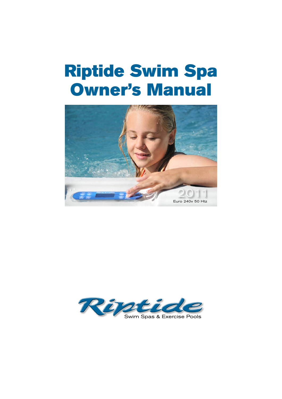# Riptide Swim Spa Owner's Manual



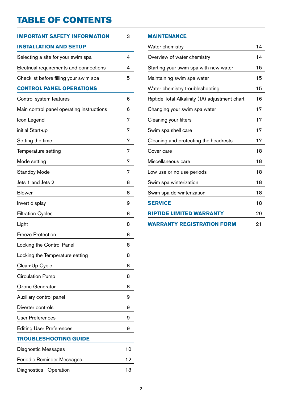# TABLE OF CONTENTS

| IMPORTANT SAFETY INFORMATION              | 3  |
|-------------------------------------------|----|
| <b>INSTALLATION AND SETUP</b>             |    |
| Selecting a site for your swim spa        | 4  |
| Electrical requirements and connections   | 4  |
| Checklist before filling your swim spa    | 5  |
| <b>CONTROL PANEL OPERATIONS</b>           |    |
| Control system features                   | 6  |
| Main control panel operating instructions | 6  |
| Icon Legend                               | 7  |
| initial Start-up                          | 7  |
| Setting the time                          | 7  |
| Temperature setting                       | 7  |
| Mode setting                              | 7  |
| <b>Standby Mode</b>                       | 7  |
| Jets 1 and Jets 2                         | 8  |
| <b>Blower</b>                             | 8  |
| Invert display                            | 9  |
| <b>Filtration Cycles</b>                  | 8  |
| Light                                     | 8  |
| <b>Freeze Protection</b>                  | 8  |
| Locking the Control Panel                 | 8  |
| Locking the Temperature setting           | 8  |
| Clean-Up Cycle                            | 8  |
| <b>Circulation Pump</b>                   | 8  |
| Ozone Generator                           | 8  |
| Auxiliary control panel                   | 9  |
| Diverter controls                         | 9  |
| <b>User Preferences</b>                   | 9  |
| <b>Editing User Preferences</b>           | 9  |
| TROUBLESHOOTING GUIDE                     |    |
| Diagnostic Messages                       | 10 |
| Periodic Reminder Messages                | 12 |
| Diagnostics - Operation                   | 13 |

#### **Maintenance**

| Water chemistry                                | 14 |
|------------------------------------------------|----|
| Overview of water chemistry                    | 14 |
| Starting your swim spa with new water          | 15 |
| Maintaining swim spa water                     | 15 |
| Water chemistry troubleshooting                | 15 |
| Riptide Total Alkalinity (TA) adjustment chart | 16 |
| Changing your swim spa water                   | 17 |
| Cleaning your filters                          | 17 |
| Swim spa shell care                            | 17 |
| Cleaning and protecting the headrests          | 17 |
| Cover care                                     | 18 |
| Miscellaneous care                             | 18 |
| Low-use or no-use periods                      | 18 |
| Swim spa winterization                         | 18 |
| Swim spa de-winterization                      | 18 |
| <b>SERVICE</b>                                 | 18 |
| <b>RIPTIDE LIMITED WARRANTY</b>                | 20 |
| <b>WARRANTY REGISTRATION FORM</b>              | 21 |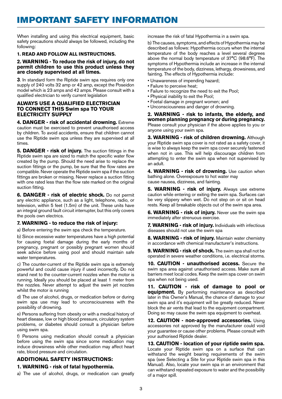### IMPORTANT SAFETY INFORMATION

When installing and using this electrical equipment, basic safety precautions should always be followed, including the following:

#### **1. READ AND FOLLOW ALL INSTRUCTIONS.**

#### **2. WARNING - To reduce the risk of injury, do not permit children to use this product unless they are closely supervised at all times.**

**3**. In standard form the Riptide swim spa requires only one supply of 240 volts 32 amp or 42 amp, except the Poseidon model which is 23 amps and 42 amps. Please consult with a qualified electrician to verify current legislation

#### **ALWAYS USE A QUALIFIED ELECTRICIAN TO CONNECT THIS Swim spa TO YOUR ELECTRICITY SUPPLY**

**4. DANGER - risk of accidental drowning.** Extreme caution must be exercised to prevent unauthorised access by children. To avoid accidents, ensure that children cannot use the Riptide swim spa unless they are supervised at all times.

**5. DANGER - risk of injury.** The suction fittings in the Riptide swim spa are sized to match the specific water flow created by the pump. Should the need arise to replace the suction fittings or the pump, be sure that the flow rates are compatible. Never operate the Riptide swim spa if the suction fittings are broken or missing. Never replace a suction fitting with one rated less than the flow rate marked on the original suction fitting.

**6. DANGER - risk of electric shock.** Do not permit any electric appliance, such as a light, telephone, radio, or television, within 5 feet (1.5m) of the unit. These units have an integral ground fault circuit interrupter, but this only covers the pools own electrics.

#### **7. WARNING - to reduce the risk of injury:**

a) Before entering the swim spa check the temperature.

b) Since excessive water temperatures have a high potential for causing foetal damage during the early months of pregnancy, pregnant or possibly pregnant women should seek advice before using pool and should maintain safe water temperatures.

c) The counter-current of the Riptide swim spa is extremely powerful and could cause injury if used incorrectly. Do not stand next to the counter-current nozzles when the motor is running. Ideally you should be placed at least 1 meter from the nozzles. Never attempt to adjust the swim jet nozzles whilst the motor is running

d) The use of alcohol, drugs, or medication before or during swim spa use may lead to unconsciousness with the possibility of drowning.

e) Persons suffering from obesity or with a medical history of heart disease, low or high blood pressure, circulatory system problems, or diabetes should consult a physician before using swim spa.

f) Persons using medication should consult a physician before using the swim spa since some medication may induce drowsiness while other medication may affect heart rate, blood pressure and circulation.

#### **ADDITIONAL SAFETY INSTRUCTIONS:**

#### **1. WARNING - risk of fatal hypothermia.**

a) The use of alcohol, drugs, or medication can greatly

increase the risk of fatal Hypothermia in a swim spa.

b) The causes, symptoms, and effects of Hypothermia may be described as follows: Hypothermia occurs when the internal temperature of the body reaches a level several degrees above the normal body temperature of 37°C (98.6°F). The symptoms of Hypothermia include an increase in the internal temperature of the body, dizziness, lethargy, drowsiness, and fainting. The effects of Hypothermia include:

- Unawareness of impending hazard;
- Failure to perceive heat;
- Failure to recognize the need to exit the Pool;
- Physical inability to exit the Pool;
	- Foetal damage in pregnant women; and
	- Unconsciousness and danger of drowning.

**2. WARNING - risk to infants, the elderly, and women planning pregnancy or during pregnancy.**  Please consult your physician if the above applies to you or anyone using your swim spa.

**3. WARNING - risk of children drowning.** Although your Riptide swim spa cover is not rated as a safety cover, it is wise to always keep the swim spa cover securely fastened when not in use. This will help discourage children from attempting to enter the swim spa when not supervised by an adult.

**4. WARNING - risk of drowning.** Use caution when bathing alone. Overexposure to hot water may cause nausea, dizziness, and fainting.

**5. WARNING - risk of injury.** Always use extreme caution while entering or exiting the swim spa. Surfaces can be very slippery when wet. Do not step on or sit on head rests. Keep all breakable objects out of the swim spa area.

**6. WARNING - risk of injury.** Never use the swim spa immediately after strenuous exercise.

**7. WARNING - risk of injury.** Individuals with infectious diseases should not use the swim spa

**8. WARNING - risk of injury.** Maintain water chemistry in accordance with chemical manufacturer's instructions.

**9. WARNING - risk of shock.** The swim spa shall not be operated in severe weather conditions, i.e. electrical storms.

**10. CAUTION - unauthorised access.** Secure the swim spa area against unauthorised access. Make sure all barriers meet local codes. Keep the swim spa cover on swim spa when not being used.

**11. CAUTION - risk of damage to pool or equipment.** By performing maintenance as described later in this Owner's Manual, the chance of damage to your swim spa and it's equipment will be greatly reduced. Never block the air vents that lead to the equipment compartment. Doing so may cause the swim spa equipment to overheat.

**12. CAUTION - non-approved accessories.** Using accessories not approved by the manufacturer could void your guarantee or cause other problems. Please consult with your authorised Riptide dealer.

**13. CAUTION - location of your riptide swim spa.**  Locate your Riptide swim spa on a surface that can withstand the weight bearing requirements of the swim spa (see Selecting a Site for your Riptide swim spa in this Manual). Also, locate your swim spa in an environment that can withstand repeated exposure to water and the possibility of a major spill.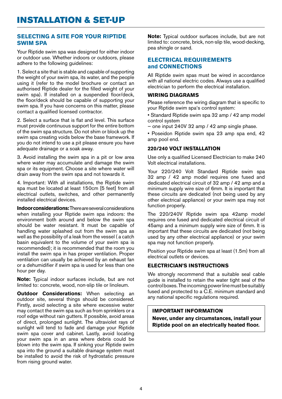#### **SELECTING A SITE FOR YOUR Riptide swim spa**

Your Riptide swim spa was designed for either indoor or outdoor use. Whether indoors or outdoors, please adhere to the following guidelines:

1. Select a site that is stable and capable of supporting the weight of your swim spa, its water, and the people using it (refer to the model brochure or contact an authorised Riptide dealer for the filled weight of your swim spa). If installed on a suspended floor/deck, the floor/deck should be capable of supporting your swim spa. If you have concerns on this matter, please contact a qualified licensed contractor.

2. Select a surface that is flat and level. This surface must provide continuous support for the entire bottom of the swim spa structure. Do not shim or block up the swim spa creating voids below the base framework. If you do not intend to use a pit please ensure you have adequate drainage or a soak away.

3. Avoid installing the swim spa in a pit or low area where water may accumulate and damage the swim spa or its equipment. Choose a site where water will drain away from the swim spa and not towards it.

4. Important: With all installations, the Riptide swim spa must be located at least 150cm [5 feet] from all electrical outlets, switches, and other permanently installed electrical devices.

**Indoor considerations:** There are several considerations when installing your Riptide swim spa indoors: the environment both around and below the swim spa should be water resistant. It must be capable of handling water splashed out from the swim spa as well as the possibility of a leak from the vessel ( a catch basin equivalent to the volume of your swim spa is recommended); it is recommended that the room you install the swim spa in has proper ventilation. Proper ventilation can usually be achieved by an exhaust fan or a dehumidifier if swim spa is used for less than one hour per day.

**Note:** Typical indoor surfaces include, but are not limited to: concrete, wood, non-slip tile or linoleum.

**Outdoor Considerations:** When selecting an outdoor site, several things should be considered. Firstly, avoid selecting a site where excessive water may contact the swim spa such as from sprinklers or a roof edge without rain gutters. If possible, avoid areas of direct, prolonged sunlight. The ultraviolet rays of sunlight will tend to fade and damage your Riptide swim spa cover and cabinet. Lastly, avoid locating your swim spa in an area where debris could be blown into the swim spa. If sinking your Riptide swim spa into the ground a suitable drainage system must be installed to avoid the risk of hydrostatic pressure from rising ground water.

**Note:** Typical outdoor surfaces include, but are not limited to: concrete, brick, non-slip tile, wood-decking, pea shingle or sand.

#### **ELECTRICAL REQUIREMENTS and CONNECTIONS**

All Riptide swim spas must be wired in accordance with all national electric codes. Always use a qualified electrician to perform the electrical installation.

#### **WIRING DIAGRAMS**

Please reference the wiring diagram that is specific to your Riptide swim spa's control system:

- Standard Riptide swim spa 32 amp / 42 amp model control system
- one input 240V 32 amp / 42 amp single phase.

• Poseidon Riptide swim spa 23 amp spa end, 42 amp pool end.

#### **220/240 VOLT INSTALLATION**

Use only a qualified Licensed Electrician to make 240 Volt electrical installations.

Your 220/240 Volt Standard Riptide swim spa 32 amp / 42 amp model requires one fused and dedicated electrical circuit of 32 amp / 42 amp and a minimum supply wire size of 6mm. It is important that these circuits are dedicated (not being used by any other electrical appliance) or your swim spa may not function properly.

The 220/240V Riptide swim spa 42amp model requires one fused and dedicated electrical circuit of 45amp and a minimum supply wire size of 6mm. It is important that these circuits are dedicated (not being used by any other electrical appliance) or your swim spa may not function properly.

Position your Riptide swim spa at least (1.5m) from all electrical outlets or devices.

#### **ELECTRICIAN'S INSTRUCTIONS**

We strongly recommend that a suitable seal cable guide is installed to retain the water tight seal of the control boxes. The incoming power line must be suitably fused and protected to a C.E. minimum standard and any national specific regulations required.

#### **IMPORTANT INFORMATION**

**Never, under any circumstances, install your Riptide pool on an electrically heated floor.**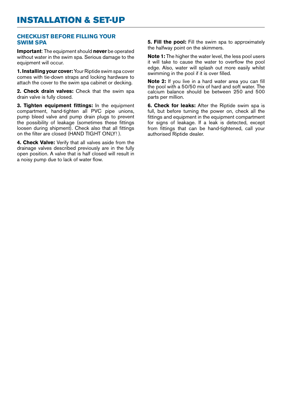#### **CHECKLIST BEFORE FILLING YOUR SWIM SPA**

**Important**: The equipment should **never** be operated without water in the swim spa. Serious damage to the equipment will occur.

**1. Installing your cover:** Your Riptide swim spa cover comes with tie-down straps and locking hardware to attach the cover to the swim spa cabinet or decking.

**2. Check drain valves:** Check that the swim spa drain valve is fully closed.

**3. Tighten equipment fittings:** In the equipment compartment, hand-tighten all PVC pipe unions, pump bleed valve and pump drain plugs to prevent the possibility of leakage (sometimes these fittings loosen during shipment). Check also that all fittings on the filter are closed (HAND TIGHT ONLY! ).

**4. Check Valve:** Verify that all valves aside from the drainage valves described previously are in the fully open position. A valve that is half closed will result in a noisy pump due to lack of water flow.

**5. Fill the pool:** Fill the swim spa to approximately the halfway point on the skimmers.

**Note 1:** The higher the water level, the less pool users it will take to cause the water to overflow the pool edge. Also, water will splash out more easily whilst swimming in the pool if it is over filled.

**Note 2:** If you live in a hard water area you can fill the pool with a 50/50 mix of hard and soft water. The calcium balance should be between 250 and 500 parts per million.

**6. Check for leaks:** After the Riptide swim spa is full, but before turning the power on, check all the fittings and equipment in the equipment compartment for signs of leakage. If a leak is detected, except from fittings that can be hand-tightened, call your authorised Riptide dealer.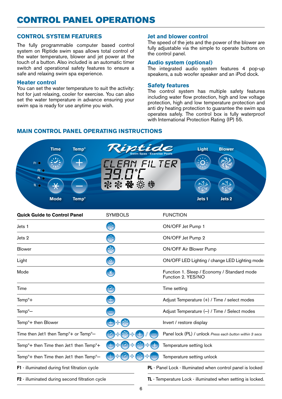#### **CONTROL SYSTEM FEATURES**

The fully programmable computer based control system on Riptide swim spas allows total control of the water temperature, blower and jet power at the touch of a button. Also included is an automatic timer switch and operational safety features to ensure a safe and relaxing swim spa experience.

#### **Heater control**

You can set the water temperature to suit the activity: hot for just relaxing, cooler for exercise. You can also set the water temperature in advance ensuring your swim spa is ready for use anytime you wish.

#### **Jet and blower control**

The speed of the jets and the power of the blower are fully adjustable via the simple to operate buttons on the control panel.

#### **Audio system (optional)**

The integrated audio system features 4 pop-up speakers, a sub woofer speaker and an iPod dock.

#### **Safety features**

The control system has multiple safety features including water flow protection, high and low voltage protection, high and low temperature protection and anti dry heating protection to guarantee the swim spa operates safely. The control box is fully waterproof with International Protection Rating (IP) 55.

#### **MAIN Control Panel operating instructions**



| <b>Quick Guide to Control Panel</b>                              | <b>SYMBOLS</b>                              |                                                             | <b>FUNCTION</b>                                                   |
|------------------------------------------------------------------|---------------------------------------------|-------------------------------------------------------------|-------------------------------------------------------------------|
| Jets 1                                                           |                                             |                                                             | ON/OFF Jet Pump 1                                                 |
| Jets 2                                                           |                                             |                                                             | ON/OFF Jet Pump 2                                                 |
| <b>Blower</b>                                                    |                                             |                                                             | <b>ON/OFF Air Blower Pump</b>                                     |
| Light                                                            | <u>as</u>                                   |                                                             | ON/OFF LED Lighting / change LED Lighting mode                    |
| Mode                                                             | $\ast$                                      |                                                             | Function 1. Sleep / Economy / Standard mode<br>Function 2. YES/NO |
| Time                                                             |                                             |                                                             | Time setting                                                      |
| $Tempo +$                                                        |                                             |                                                             | Adjust Temperature $(+)$ / Time / select modes                    |
| Temp <sup>o</sup> -                                              |                                             |                                                             | Adjust Temperature $(-)$ / Time / Select modes                    |
| Temp <sup>o</sup> + then Blower                                  |                                             |                                                             | Invert / restore display                                          |
| Time then Jet1 then Temp <sup>o</sup> + or Temp <sup>o</sup> -   |                                             |                                                             | Panel lock (PL) / unlock Press each button within 3 secs          |
| Temp <sup>o</sup> + then Time then Jet1 then Temp <sup>o</sup> + |                                             |                                                             | Temperature setting lock                                          |
| Temp <sup>o</sup> + then Time then Jet1 then Temp <sup>o</sup> - | وار (پیشر<br>تاریخچه<br>╬<br>出来<br><b>+</b> | 랍                                                           | Temperature setting unlock                                        |
| <b>F1</b> - illuminated during first filtration cycle            |                                             | PL - Panel Lock - Illuminated when control panel is locked  |                                                                   |
| F2 - illuminated during second filtration cycle                  |                                             | TL - Temperature Lock - illuminated when setting is locked. |                                                                   |
|                                                                  |                                             |                                                             |                                                                   |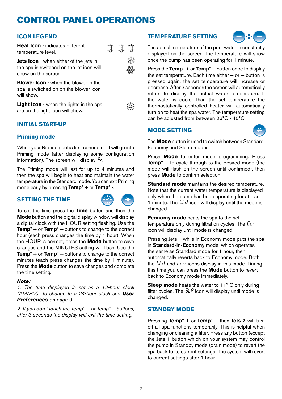#### **Icon Legend**

**Heat Icon** - indicates different temperature level.



**Jets Icon** - when either of the jets in the spa is switched on the jet icon will show on the screen.

**Blower Icon** - when the blower in the spa is switched on on the blower icon will show.

**Light Icon** - when the lights in the spa are on the light icon will show.



#### **Initial Start-up**

#### **Priming mode**

When your Riptide pool is first connected it will go into Priming mode (after displaying some configuration information). The screen will display  $P_r$ .

The Priming mode will last for up to 4 minutes and then the spa will begin to heat and maintain the water temperature in the Standard mode. You can exit Priming mode early by pressing **Tempº +** or **Tempº -**.

#### **setting THE TIME**



To set the time press the **Time** button and then the **Mode** button and the digital display window will display a digital clock with the HOUR setting flashing. Use the **Tempº +** or **Tempº −** buttons to change to the correct hour (each press changes the time by 1 hour). When the HOUR is correct, press the **Mode** button to save changes and the MINUTES setting will flash. Use the **Tempº +** or **Tempº −** buttons to change to the correct minutes (each press changes the time by 1 minute). Press the **Mode** button to save changes and complete the time setting.

#### *Note:*

*1. The time displayed is set as a 12-hour clock (AM/PM). To change to a 24-hour clock see User Preferences on page 9.*

*2. If you don't touch the Tempº + or Tempº − buttons, after 3 seconds the display will exit the time setting.*

#### **Temperature setting**



The actual temperature of the pool water is constantly displayed on the screen The temperature will show once the pump has been operating for 1 minute.

Press the **Tempº +** or **Tempº −** button once to display the set temperature. Each time either + or − button is pressed again, the set temperature will increase or decrease. After 3 seconds the screen will automatically return to display the actual water temperature. If the water is cooler than the set temperature the thermostatically controlled heater will automatically turn on to heat the spa water. The temperature setting can be adjusted from between 26°C - 40°C.

#### **Mode setting**



The **Mode** button is used to switch between Standard, Economy and Sleep modes.

Press **Mode** to enter mode programming. Press **Tempº −** to cycle through to the desired mode (the mode will flash on the screen until confirmed), then press **Mode** to confirm selection.

**Standard mode** maintains the desired temperature. Note that the current water temperature is displayed only when the pump has been operating for at least 1 minute. The  $5kd$  icon will display until the mode is changed.

**Economy mode** heats the spa to the set temperature only during filtration cycles. The  $Ecn$ icon will display until mode is changed.

Pressing Jets 1 while in Economy mode puts the spa in Standard-In-Economy mode, which operates the same as Standard mode for 1 hour, then automatically reverts back to Economy mode. Both the Stdand Ecnicons display in this mode. During this time you can press the **Mode** button to revert back to Economy mode immediately.

**Sleep mode** heats the water to 11° C only during filter cycles. The  $5LP$  icon will display until mode is changed.

#### **STANDBY Mode**

Pressing **Tempº +** or **Tempº −** then **Jets 2** will turn off all spa functions temporarily. This is helpful when changing or cleaning a filter. Press any button (except the Jets 1 button which on your system may control the pump in Standby mode (drain mode) to revert the spa back to its current settings. The system will revert to current settings after 1 hour.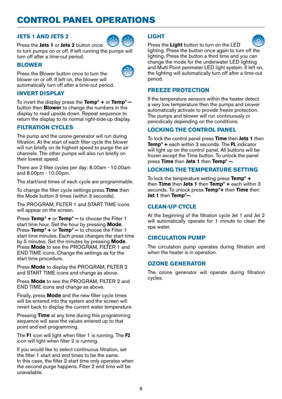#### **Jets 1 and Jets 2**



Press the **Jets 1** or **Jets 2** button once to turn pumps on or off. If left running the pumps will turn off after a time-out period.

#### **Blower**

Press the Blower button once to turn the blower on or off. If left on, the blower will automatically turn off after a time-out period.

#### **Invert display**

To invert the display press the **Tempº +** or **Tempº −**  button then **Blower** to change the numbers in the display to read upside down. Repeat sequence to return the display to its normal right-side-up display.

#### **Filtration Cycles**

The pump and the ozone generator will run during filtration. At the start of each filter cycle the blower will run briefly on its highest speed to purge the air channels. The other pumps will also run briefly on their lowest speed.

There are 2 filter cycles per day: 8.00am - 10.00am and 8.00pm - 10.00pm.

The start/end times of each cycle are programmable.

To change the filter cycle settings press **Time** then the Mode button 3 times (within 3 seconds).

The PROGRAM, FILTER 1 and START TIME icons will appear on the screen.

Press **Tempº +** or **Tempº −** to choose the Filter 1 start time hour. Set the hour by pressing **Mode**. Press **Tempº +** or **Tempº −** to choose the Filter 1 start time minutes. Each press changes the start time by 5 minutes. Set the minutes by pressing **Mode**. Press **Mode** to see the PROGRAM, FILTER 1 and END TIME icons. Change the settings as for the start time procedure.

Press **Mode** to display the PROGRAM, FILTER 2 and START TIME icons and change as above.

Press **Mode** to see the PROGRAM, FILTER 2 and END TIME icons and change as above.

Finally, press **Mode** and the new filter cycle times will be entered into the system and the screen will revert back to display the current water temperature.

Pressing **Time** at any time during this programming sequence will save the values entered up to that point and exit programming.

The **F1** icon will light when filter 1 is running. The **F2** icon will light when filter 2 is running.

If you would like to select continuous filtration, set the filter 1 start and end times to be the same. In this case, the filter 2 start time only operates when the second purge happens. Filter 2 end time will be unavailable.

#### **Light**





Press the **Light** button to turn on the LED lighting. Press the button once again to turn off the lighting. Press the button a third time and you can change the mode for the underwater LED lighting and Multi Point perimeter LED light system. If left on, the lighting will automatically turn off after a time-out period.

#### **Freeze Protection**

If the temperature sensors within the heater detect a very low temperature then the pumps and blower automatically activate to provide freeze protection. The pumps and blower will run continuously or periodically depending on the conditions.

#### **Locking the Control Panel**

To lock the control panel press **Time** then **Jets 1** then **Tempº +** each within 3 seconds. The **PL** indicator will light up on the control panel. All buttons will be frozen except the Time button. To unlock the panel press **Time** then **Jets 1** then **Tempº −**.

#### **Locking the Temperature setting**

To lock the temperature setting press **Tempº +** then **Time** then **Jets 1** then **Tempº +** each within 3 seconds. To unlock press **Tempº+** then **Time** then **Jet 1** then **Tempº−**.

#### **CLEAN-UP CYCLE**

At the beginning of the filtration cycle Jet 1 and Jet 2 will automatically operate for 1 minute to clean the spa water.

#### **Circulation PUMP**

The circulation pump operates during filtration and when the heater is in operation.

#### **Ozone generator**

The ozone generator will operate during filtration cycles.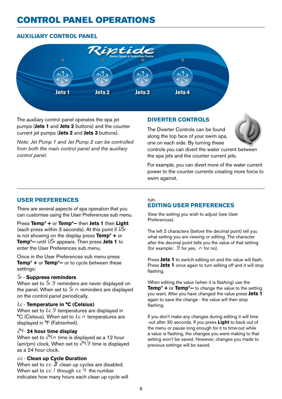#### **Auxiliary control panel**



The auxiliary control panel operates the spa jet pumps (**Jets 1** and **Jets 2** buttons) and the counter current jet pumps (**Jets 2** and **Jets 3** buttons).

*Note: Jet Pump 1 and Jet Pump 2 can be controlled from both the main control panel and the auxiliary control panel.*

#### **DIVERTER CONTROLS**

The Diverter Controls can be found along the top face of your swim spa, one on each side. By turning these



controls you can divert the water current between the spa jets and the counter current jets.

For example, you can divert more of the water current power to the counter currents creating more force to swim against.

#### **User Preferences**

There are several aspects of spa operation that you can customise using the User Preferences sub menu.

Press **Tempº +** or **Tempº−** then **Jets 1** then **Light** (each press within 3 seconds). At this point if  $U5r$ is not showing on the display press **Tempº +** or **Tempº−** until USr appears. Then press **Jets 1** to enter the User Preferences sub menu.

Once in the User Preferences sub menu press **Tempº +** or **Tempº−** or to cycle between these settings:

#### Sr - **Suppress reminders**

When set to 5r. *y* reminders are never displayed on the panel. When set to  $5r.n$  reminders are displayed on the control panel periodically.

#### tc - **Temperature in °C (Celsius)**

When set to  $\ell \in \mathcal{Y}$  temperatures are displayed in °C (Celsius). When set to  $\ell \in \Omega$  temperatures are displayed in °F (Fahrenheit).

#### 24 - **24 hour time display**

When set to  $\bar{c}^{n}$ . time is displayed as a 12 hour (am/pm) clock. When set to  $\mathcal{C}^{H}$ , *y* time is displayed as a 24 hour clock.

#### cc - **Clean up Cycle Duration**

When set to  $c \in \overline{B}$  clean up cycles are disabled. When set to  $cc$ .<sup>1</sup> through  $cc$ <sup>4</sup> the number indicates how many hours each clean up cycle will

#### run. **Editing User Preferences**

View the setting you wish to adjust (see User Preferences).

The left 2 characters (before the decimal point) tell you what setting you are viewing or editing. The character after the decimal point tells you the value of that setting (for example:  $\mathcal{Y}$  for yes,  $\mathcal{P}$  for no).

Press **Jets 1** to switch editing on and the value will flash. Press **Jets 1** once again to turn editing off and it will stop flashing.

When editing the value (when it is flashing) use the **Tempº +** or **Tempº−** to change the value to the setting you want. After you have changed the value press **Jets 1**  again to save the change - the value will then stop flashing.

If you don't make any changes during editing it will time -out after 30 seconds. If you press **Light** to back out of the menu or pause long enough for it to time-out while a value is flashing, the changes you were making to that setting won't be saved. However, changes you made to previous settings will be saved.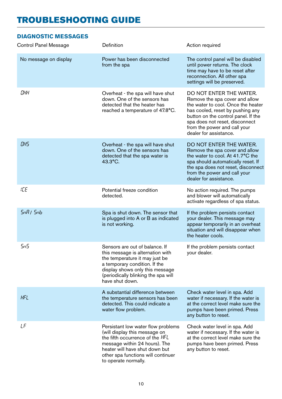| Control Panel Message | Definition                                                                                                                                                                                                                              | Action required                                                                                                                                                                                                                                                        |
|-----------------------|-----------------------------------------------------------------------------------------------------------------------------------------------------------------------------------------------------------------------------------------|------------------------------------------------------------------------------------------------------------------------------------------------------------------------------------------------------------------------------------------------------------------------|
| No message on display | Power has been disconnected<br>from the spa                                                                                                                                                                                             | The control panel will be disabled<br>until power returns. The clock<br>time may have to be reset after<br>reconnection. All other spa<br>settings will be preserved.                                                                                                  |
| ОНН                   | Overheat - the spa will have shut<br>down. One of the sensors has<br>detected that the heater has<br>reached a temperature of 47.8°C.                                                                                                   | DO NOT ENTER THE WATER.<br>Remove the spa cover and allow<br>the water to cool. Once the heater<br>has cooled, reset by pushing any<br>button on the control panel. If the<br>spa does not reset, disconnect<br>from the power and call your<br>dealer for assistance. |
| OНS                   | Overheat - the spa will have shut<br>down. One of the sensors has<br>detected that the spa water is<br>$43.3^{\circ}$ C.                                                                                                                | DO NOT ENTER THE WATER.<br>Remove the spa cover and allow<br>the water to cool. At 41.7°C the<br>spa should automatically reset. If<br>the spa does not reset, disconnect<br>from the power and call your<br>dealer for assistance.                                    |
| IСE                   | Potential freeze condition<br>detected.                                                                                                                                                                                                 | No action required. The pumps<br>and blower will automatically<br>activate regardless of spa status.                                                                                                                                                                   |
| SnR/Shb               | Spa is shut down. The sensor that<br>is plugged into A or B as indicated<br>is not working.                                                                                                                                             | If the problem persists contact<br>your dealer. This message may<br>appear temporarily in an overheat<br>situation and will disappear when<br>the heater cools.                                                                                                        |
| SnS                   | Sensors are out of balance. If<br>this message is alternation with<br>the temperature it may just be<br>a temporary condition. If the<br>display shows only this message<br>(periodically blinking the spa will<br>have shut down.      | If the problem persists contact<br>your dealer.                                                                                                                                                                                                                        |
| HFL                   | A substantial difference between<br>the temperature sensors has been<br>detected. This could indicate a<br>water flow problem.                                                                                                          | Check water level in spa. Add<br>water if necessary. If the water is<br>at the correct level make sure the<br>pumps have been primed. Press<br>any button to reset.                                                                                                    |
| LF                    | Persistant low water flow problems<br>(will display this message on<br>the fifth occurrence of the HFL<br>message within 24 hours). The<br>heater will have shut down but<br>other spa functions will continuer<br>to operate normally. | Check water level in spa. Add<br>water if necessary. If the water is<br>at the correct level make sure the<br>pumps have been primed. Press<br>any button to reset.                                                                                                    |

#### **Diagnostic Messages**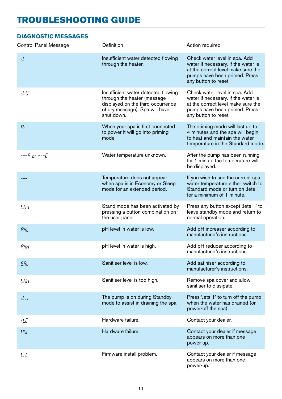#### **Diagnostic Messages**

| <b>Control Panel Message</b> | Definition                                                                                                                                              | Action required                                                                                                                                                     |
|------------------------------|---------------------------------------------------------------------------------------------------------------------------------------------------------|---------------------------------------------------------------------------------------------------------------------------------------------------------------------|
| dr                           | Insufficient water detected flowing<br>through the heater.                                                                                              | Check water level in spa. Add<br>water if necessary. If the water is<br>at the correct level make sure the<br>pumps have been primed. Press<br>any button to reset. |
| dr Y                         | Insufficient water detected flowing<br>through the heater (message<br>displayed on the third occurrence<br>of dry message). Spa will have<br>shut down. | Check water level in spa. Add<br>water if necessary. If the water is<br>at the correct level make sure the<br>pumps have been primed. Press<br>any button to reset. |
| $P_{\rm f}$                  | When your spa is first connected<br>to power it will go into priming<br>mode.                                                                           | The priming mode will last up to<br>4 minutes and the spa will begin<br>to heat and maintain the water<br>temperature in the Standard mode.                         |
| ----F or ----[               | Water temperature unknown.                                                                                                                              | After the pump has been running<br>for 1 minute the temperature will<br>be displayed.                                                                               |
| -- -- --                     | Temperature does not appear<br>when spa is in Economy or Sleep<br>mode for an extended period.                                                          | If you wish to see the current spa<br>water temperature either switch to<br>Standard mode or turn on 'Jets 1'<br>for a minimum of 1 minute.                         |
| 569                          | Stand mode has been activated by<br>pressing a button combination on<br>the user panel.                                                                 | Press any button except 'Jets 1' to<br>leave standby mode and return to<br>normal operation.                                                                        |
| PHL                          | pH level in water is low.                                                                                                                               | Add pH increaser according to<br>manufacturer's instructions.                                                                                                       |
| РНН                          | pH level in water is high.                                                                                                                              | Add pH reducer according to<br>manufacturer's instructions.                                                                                                         |
| <b>SRL</b>                   | Sanitiser level is low.                                                                                                                                 | Add satiniser according to<br>manufacturer's instructions.                                                                                                          |
| SЯН                          | Sanitiser level is too high.                                                                                                                            | Remove spa cover and allow<br>sanitiser to dissipate.                                                                                                               |
| drn                          | The pump is on during Standby<br>mode to assist in draining the spa.                                                                                    | Press 'Jets 1' to turn off the pump<br>when the water has drained (or<br>power-off the spa).                                                                        |
| rLC                          | Hardware failure.                                                                                                                                       | Contact your dealer.                                                                                                                                                |
| PSL                          | Hardware failure.                                                                                                                                       | Contact your dealer if message<br>appears on more than one<br>power-up.                                                                                             |
| [r[                          | Firmware install problem.                                                                                                                               | Contact your dealer if message<br>appears on more than one<br>power-up.                                                                                             |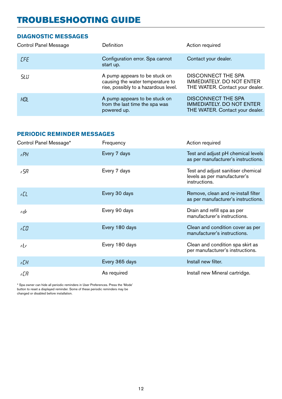#### **Diagnostic Messages**

| <b>Control Panel Message</b> | <b>Definition</b>                                                                                         | Action required                                                                                  |
|------------------------------|-----------------------------------------------------------------------------------------------------------|--------------------------------------------------------------------------------------------------|
| <b>CFE</b>                   | Configuration error. Spa cannot<br>start up.                                                              | Contact your dealer.                                                                             |
| 5LU                          | A pump appears to be stuck on<br>causing the water temperature to<br>rise, possibly to a hazardous level. | <b>DISCONNECT THE SPA</b><br><b>IMMEDIATELY. DO NOT ENTER</b><br>THE WATER. Contact your dealer. |
| НIJĿ                         | A pump appears to be stuck on<br>from the last time the spa was<br>powered up.                            | <b>DISCONNECT THE SPA</b><br><b>IMMEDIATELY. DO NOT ENTER</b><br>THE WATER. Contact your dealer. |

#### **PERIODIC REMINDER Messages**

| Frequency      | Action required                                                                     |
|----------------|-------------------------------------------------------------------------------------|
| Every 7 days   | Test and adjust pH chemical levels<br>as per manufacturer's instructions.           |
| Every 7 days   | Test and adjust sanitiser chemical<br>levels as per manufacturer's<br>instructions. |
| Every 30 days  | Remove, clean and re-install filter<br>as per manufacturer's instructions.          |
| Every 90 days  | Drain and refill spa as per<br>manufacturer's instructions.                         |
| Every 180 days | Clean and condition cover as per<br>manufacturer's instructions.                    |
| Every 180 days | Clean and condition spa skirt as<br>per manufacturer's instructions.                |
| Every 365 days | Install new filter.                                                                 |
| As required    | Install new Mineral cartridge.                                                      |
|                |                                                                                     |

\* Spa owner can hide all periodic reminders in User Preferences. Press the 'Mode' button to reset a displayed reminder. Some of these periodic reminders may be changed or disabled before installation.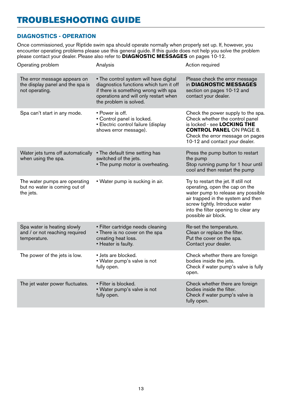#### **DiagnosticS - OPERATION**

Once commissioned, your Riptide swim spa should operate normally when properly set up. If, however, you encounter operating problems please use this general guide. If this guide does not help you solve the problem please contact your dealer. Please also refer to **Diagnostic Messages** on pages 10-12.

| Operating problem                                                                  | Analysis                                                                                                                                                                                     | Action required                                                                                                                                                                                                                                     |
|------------------------------------------------------------------------------------|----------------------------------------------------------------------------------------------------------------------------------------------------------------------------------------------|-----------------------------------------------------------------------------------------------------------------------------------------------------------------------------------------------------------------------------------------------------|
| The error message appears on<br>the display panel and the spa is<br>not operating. | • The control system will have digital<br>diagnostics functions which turn it off<br>if there is something wrong with spa<br>operations and will only restart when<br>the problem is solved. | Please check the error message<br>in DIAGNOSTIC MESSAGES<br>section on pages 10-12 and<br>contact your dealer.                                                                                                                                      |
| Spa can't start in any mode.                                                       | • Power is off.<br>• Control panel is locked.<br>• Electric control failure (display<br>shows error message).                                                                                | Check the power supply to the spa.<br>Check whether the control panel<br>is locked - see LOCKING THE<br><b>CONTROL PANEL ON PAGE 8.</b><br>Check the error message on pages<br>10-12 and contact your dealer.                                       |
| Water jets turns off automatically<br>when using the spa.                          | • The default time setting has<br>switched of the jets.<br>• The pump motor is overheating.                                                                                                  | Press the pump button to restart<br>the pump<br>Stop running pump for 1 hour until<br>cool and then restart the pump                                                                                                                                |
| The water pumps are operating<br>but no water is coming out of<br>the jets.        | • Water pump is sucking in air.                                                                                                                                                              | Try to restart the jet. If still not<br>operating, open the cap on the<br>water pump to release any possible<br>air trapped in the system and then<br>screw tightly. Introduce water<br>into the filter opening to clear any<br>possible air block. |
| Spa water is heating slowly<br>and / or not reaching required<br>temperature.      | · Filter cartridge needs cleaning<br>• There is no cover on the spa<br>creating heat loss.<br>• Heater is faulty.                                                                            | Re-set the temperature.<br>Clean or replace the filter.<br>Put the cover on the spa.<br>Contact your dealer.                                                                                                                                        |
| The power of the jets is low.                                                      | • Jets are blocked.<br>• Water pump's valve is not<br>fully open.                                                                                                                            | Check whether there are foreign<br>bodies inside the jets.<br>Check if water pump's valve is fully<br>open.                                                                                                                                         |
| The jet water power fluctuates.                                                    | • Filter is blocked.<br>• Water pump's valve is not<br>fully open.                                                                                                                           | Check whether there are foreign<br>bodies inside the filter.<br>Check if water pump's valve is<br>fully open.                                                                                                                                       |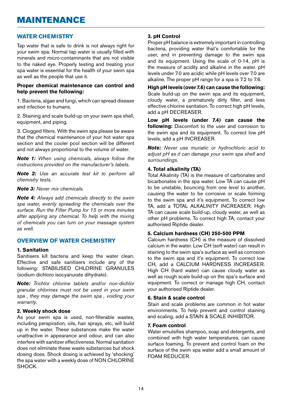#### **WATER CHEMISTRY**

Tap water that is safe to drink is not always right for your swim spa. Normal tap water is usually filled with minerals and micro-contaminants that are not visible to the naked eye. Properly testing and treating your spa water is essential for the health of your swim spa as well as the people that use it.

#### **Proper chemical maintenance can control and help prevent the following:**

1. Bacteria, algae and fungi, which can spread disease and infection to humans.

2. Staining and scale build-up on your swim spa shell, equipment, and piping.

3. Clogged filters. With the swim spa please be aware that the chemical maintenance of your hot water spa section and the cooler pool section will be different and not always proportional to the volume of water.

*Note 1: When using chemicals, always follow the instructions provided on the manufacturer's labels.* 

*Note 2: Use an accurate test kit to perform all chemistry tests.* 

*Note 3: Never mix chemicals.* 

*Note 4: Always add chemicals directly to the swim spa water, evenly spreading the chemicals over the surface. Run the Filter Pump for 15 or more minutes after applying any chemical. To help with the mixing of chemicals you can turn on your massage system as well.*

#### **OVERVIEW OF WATER CHEMISTRY**

#### **1. Sanitation**

Sanitisers kill bacteria and keep the water clean. Effective and safe sanitisers include any of the following: STABILISED CHLORINE GRANULES (sodium dichloro isocyanurate dihydrate).

*Note: Trichlor chlorine tablets and/or non-dichlor granular chlorines must not be used in your swim spa , they may damage the swim spa , voiding your warranty.*

#### **2. Weekly shock dose**

As your swim spa is used, non-filterable wastes, including perspiration, oils, hair sprays, etc, will build up in the water. These substances make the water unattractive in appearance and odour, and can also interfere with sanitizer effectiveness. Normal sanitation does not eliminate these waste substances but shock dosing does. Shock dosing is achieved by 'shocking' the spa water with a weekly dose of NON CHLORINE SHOCK.

#### **3. pH Control**

Proper pH balance is extremely important in controlling bacteria, providing water that's comfortable for the user, and in preventing damage to the swim spa and its equipment. Using the scale of 0-14, pH is the measure of acidity and alkaline in the water. pH levels under 7.0 are acidic while pH levels over 7.0 are alkaline. The proper pH range for a spa is 7.2 to 7.6.

**High pH levels (over 7.6) can cause the following:**  Scale build-up on the swim spa and its equipment, cloudy water, a prematurely dirty filter, and less effective chlorine sanitation. To correct high pH levels, add a pH DECREASER.

**Low pH levels (under 7.4) can cause the following:** Discomfort to the user and corrosion to the swim spa and its equipment. To correct low pH levels, add a pH INCREASER.

*Note: Never use muriatic or hydrochloric acid to adjust pH as it can damage your swim spa shell and surroundings.* 

#### **4. Total alkalinity (TA)**

Total Alkalinity (TA) is the measure of carbonates and bicarbonates in the spa water. Low TA can cause pH to be unstable, bouncing from one level to another, causing the water to be corrosive or scale forming to the swim spa and it's equipment. To correct low TA, add a TOTAL ALKALINITY INCREASER. High TA can cause scale build-up, cloudy water, as well as other pH problems. To correct high TA, contact your authorised Riptide dealer.

#### **5. Calcium hardness (CH) 250-500 PPM**

Calcium hardness (CH) is the measure of dissolved calcium in the water. Low CH (soft water) can result in staining to the swim spa's surface as well as corrosion to the swim spa and it's equipment. To correct low CH, add a CALCIUM HARDNESS INCREASER. High CH (hard water) can cause cloudy water as well as rough scale build-up on the spa's surface and equipment. To correct or manage high CH, contact your authorised Riptide dealer.

#### **6. Stain & scale control**

Stain and scale problems are common in hot water environments. To help prevent and control staining and scaling, add a STAIN & SCALE INHIBITOR.

#### **7. Foam control**

Water emulsifies shampoo, soap and detergents, and combined with high water temperatures, can cause surface foaming. To prevent and control foam on the surface of the swim spa water add a small amount of FOAM REDUCER.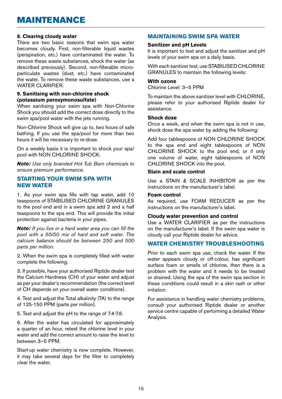### MAINTENANCE

#### **8. Clearing cloudy water**

There are two basic reasons that swim spa water becomes cloudy. First, non-filterable liquid wastes (perspiration, etc.) have contaminated the water. To remove these waste substances, shock the water (as described previously). Second, non-filterable microparticulate wastes (dust, etc.) have contaminated the water. To remove these waste substances, use a WATER CLARIFIER.

#### **9. Sanitising with non-chlorine shock (potassium peroxymonosulfate)**

When sanitising your swim spa with Non-Chlorine Shock you should add the correct dose directly to the swim spa/pool water with the jets running.

Non-Chlorine Shock will give up to, two hours of safe bathing. If you use the spa/pool for more than two hours it will be necessary to re-dose.

On a weekly basis it is important to shock your spa/ pool with NON CHLORINE SHOCK.

*Note: Use only branded Hot Tub Barn chemicals to ensure premium performance.*

#### **STARTING YOUR SWIM SPA WITH NEW WATER**

1. As your swim spa fills with tap water, add 10 teaspoons of STABILISED CHLORINE GRANULES to the pool end and in a swim spa add 2 and a half teaspoons to the spa end. This will provide the initial protection against bacteria in your pipes.

*Note: If you live in a hard water area you can fill the pool with a 50/50 mix of hard and soft water. The calcium balance should be between 250 and 500 parts per million.*

2. When the swim spa is completely filled with water complete the following.

3. If possible, have your authorised Riptide dealer test the Calcium Hardness (CH) of your water and adjust as per your dealer's recommendation (the correct level of CH depends on your overall water conditions).

4. Test and adjust the Total alkalinity (TA) to the range of 125-150 PPM (parts per million).

5. Test and adjust the pH to the range of 7.4-7.6.

6. After the water has circulated for approximately a quarter of an hour, retest the chlorine level in your water and add the correct amount to raise the level to between 3—5 PPM.

Start-up water chemistry is now complete. However, it may take several days for the filter to completely clear the water.

#### **MAINTAINING SWIM SPA WATER**

#### **Sanitizer and pH Levels**

It is important to test and adjust the sanitizer and pH levels of your swim spa on a daily basis.

With each sanitizer test, use STABILISED CHLORINE GRANULES to maintain the following levels:

#### **With ozone**

Chlorine Level: 3—5 PPM

To maintain the above sanitizer level with CHLORINE, please refer to your authorised Riptide dealer for assistance.

#### **Shock dose**

Once a week, and when the swim spa is not in use, shock dose the spa water by adding the following:

Add four tablespoons of NON CHLORINE SHOCK to the spa end and eight tablespoons of NON CHLORINE SHOCK to the pool end, or if only one volume of water, eight tablespoons of NON CHLORINE SHOCK into the pool.

#### **Stain and scale control**

Use a STAIN & SCALE INHIBITOR as per the instructions on the manufacturer's label.

#### **Foam control**

As required, use FOAM REDUCER as per the instructions on the manufacturer's label.

#### **Cloudy water prevention and control**

Use a WATER CLARIFIER as per the instructions on the manufacturer's label. If the swim spa water is cloudy call your Riptide dealer for advice.

#### **WATER CHEMISTRY TROUBLESHOOTING**

Prior to each swim spa use, check the water. If the water appears cloudy or off-colour, has significant surface foam or smells of chlorine, then there is a problem with the water and it needs to be treated or drained. Using the spa of the swim spa section in these conditions could result in a skin rash or other irritation.

For assistance in handling water chemistry problems, consult your authorised Riptide dealer or another service centre capable of performing a detailed Water Analysis.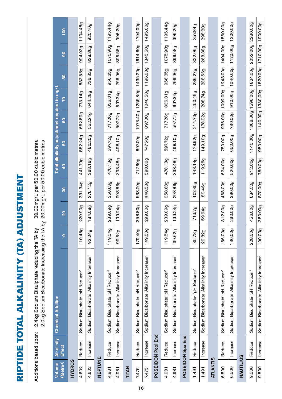| I              |
|----------------|
|                |
| ֚֚֚֬           |
| I              |
|                |
| I<br>I         |
|                |
|                |
|                |
|                |
|                |
|                |
|                |
| I              |
| ׇ֘֒            |
| l              |
|                |
| l              |
| l              |
|                |
|                |
| $\overline{1}$ |
|                |
| I              |
| ֠              |
| ֘֒             |

| )<br>)<br><br>                                   |                                                                             |
|--------------------------------------------------|-----------------------------------------------------------------------------|
|                                                  |                                                                             |
| 20 DDmail par 50 DD cubic matres                 |                                                                             |
|                                                  |                                                                             |
| うこりょ                                             |                                                                             |
|                                                  |                                                                             |
|                                                  |                                                                             |
| upon: 2.4kg Sodium Bisulphate reducing the TA by | kg Sodium Bicarbonate Increasing the TA by 20.00mg/L per 50.00 cubic metres |
|                                                  |                                                                             |
|                                                  |                                                                             |
|                                                  |                                                                             |
|                                                  | さんここ                                                                        |
|                                                  |                                                                             |
|                                                  |                                                                             |
|                                                  |                                                                             |
|                                                  |                                                                             |

| Volume                | <b>Alkalinity</b> | <b>Chemical Addition</b>                  |               |                 |         |               | Total alkalinity adjustment required in mg/L |          |                            |               |                |                 |
|-----------------------|-------------------|-------------------------------------------|---------------|-----------------|---------|---------------|----------------------------------------------|----------|----------------------------|---------------|----------------|-----------------|
| (Metre <sup>3</sup> ) | Effect            |                                           | $\frac{1}{1}$ | $\overline{20}$ | 80      | $\frac{1}{2}$ | SO                                           | 80       | $\overline{2}$             | $\frac{0}{8}$ | $\overline{9}$ | $\frac{100}{2}$ |
| <b>HYDROS</b>         |                   |                                           |               |                 |         |               |                                              |          |                            |               |                |                 |
| 4.602                 | Reduce            | Sodium Bisulphate 'pH Reducer'            | 110.45g       | 220.90g         | 331.34g | 441.79g       | 552.24g                                      | 662.69g  | 773.14g                    | 883.589       | 994.03g        | 1104.48g        |
| 4.602                 | Increase          | Sodium Bicarbonate 'Alkalinity Increaser' | 92.04g        | 184.08g         | 276.12g | 368.16g       | 460.20g                                      | 552.24g  | 644.28g                    | 736.32g       | 828.36g        | 920.40g         |
| NEPTUNE               |                   |                                           |               |                 |         |               |                                              |          |                            |               |                |                 |
| 4.981                 | Reduce            | Sodium Bisulphate 'pH Reducer'            | 119.54g       | 239.09g         | 358.63g | 478.18g       | 597.72g                                      | 717.26g  | 836.81g                    | 956.35g       | 1075.90g       | 1195.44g        |
| 4.981                 | Increase          | Sodium Bicarbonate 'Alkalinity Increaser' | 99.62g        | 199.24g         | 298.86g | 398.489       | 498.10g                                      | 597.72g  | 697.34g                    | 796.96g       | 896.589        | 996.20g         |
| TITAN                 |                   |                                           |               |                 |         |               |                                              |          |                            |               |                |                 |
| 7.475                 | Reduce            | Sodium Bisulphate 'pH Reducer'            | 179.40g       | 358.80g         | 538.20g | 717.60g       | 897.00g                                      | 1076.40g | 1255.80g                   | 1435.20g      | 1614.60g       | 1794.00g        |
| 7.475                 | Increase          | Sodium Bicarbonate 'Alkalinity Increaser' | 149.50g       | 299.00g         | 448.50g | 598.00g       | 747.50g                                      | 897.00g  | 1046.50g                   | 1196.00g      | 1345.50g       | 1495.00g        |
|                       | POSEIDON Pool End |                                           |               |                 |         |               |                                              |          |                            |               |                |                 |
| 4.981                 | Reduce            | Sodium Bisulphate 'pH Reducer'            | 119.54g       | 239.09g         | 358.63g | 478.189       | 597.72g                                      | 717.26g  | 836.81g                    | 956.35g       | 1075.90g       | 1195.44g        |
| 4.981                 | Increase          | Sodium Bicarbonate 'Alkalinity Increaser' | 99.62g        | 199.24g         | 298.86g | 398.489       | 498.10g                                      | 597.72g  | 697.34g                    | 796.96g       | 896.589        | 996.20g         |
|                       | POSEIDON Spa End  |                                           |               |                 |         |               |                                              |          |                            |               |                |                 |
| 1.491                 | Reduce            | Sodium Bisulphate-'pH Reducer'            | 35.78g        | 71.57g          | 107.35g | 143.14g       | 178.92g                                      | 214.70g  | 250.49g                    | 286.27g       | 322.06g        | 357.84g         |
| 1.491                 | Increase          | Sodium Bicarbonate 'Alkalinity Increaser' | 29.82g        | 59.64g          | 89.46g  | 119.28g       | 149.10g                                      | 178.92g  | 208.749                    | 238.56g       | 268.38g        | 298.20g         |
| <b>ATLANTIS</b>       |                   |                                           |               |                 |         |               |                                              |          |                            |               |                |                 |
| 6.500                 | Reduce            | Sodium Bisulphate 'pH Reducer'            | 156.00g       | 312.00g         | 468.00g | 624.00g       | 780.00g                                      | 936.00g  | 1092.00g                   | 1248.00g      | 1404.00g       | 1560.00g        |
| 6.500                 | Increase          | Sodium Bicarbonate 'Alkalinity Increaser' | 130.00g       | 260.00g         | 390.00g | 520.00g       | 650.00g                                      | 780.00g  | 910.00g                    | 1040.00g      | 1170.00g       | 1300.00g        |
| NAUTILIUS             |                   |                                           |               |                 |         |               |                                              |          |                            |               |                |                 |
| 9.500                 | Reduce            | Sodium Bisulphate 'pH Reducer'            | 228.00g       | 456.00g         | 684.00g | 912.00g       | 1140.00g                                     |          | 1368.00g 1596.00g 1824.00g |               | 2052.00g       | 2280.00g        |
| 9.500                 | Increase          | Sodium Bicarbonate 'Alkalinity Increaser' | 190.00g       | 380.00g         | 570.00g | 760.00g       | 950.00g                                      |          | 1140.00g 1330.00g          | 1520.00g      | 1710.00g       | 1900.00g        |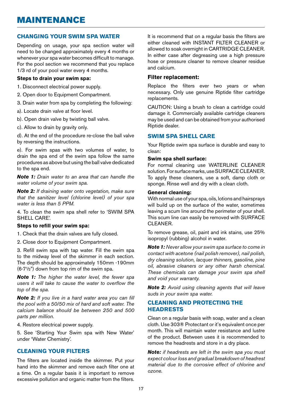### MAINTENANCE

#### **CHANGING YOUR SWIM SPA WATER**

Depending on usage, your spa section water will need to be changed approximately every 4 months or whenever your spa water becomes difficult to manage. For the pool section we recommend that you replace 1/3 rd of your pool water every 4 months.

#### **Steps to drain your swim spa:**

- 1. Disconnect electrical power supply.
- 2. Open door to Equipment Compartment.
- 3. Drain water from spa by completing the following:
- a). Locate drain valve at floor level.
- b). Open drain valve by twisting ball valve.
- c). Allow to drain by gravity only.

d). At the end of the procedure re-close the ball valve by reversing the instructions.

e). For swim spas with two volumes of water, to drain the spa end of the swim spa follow the same procedures as above but using the ball valve dedicated to the spa end.

*Note 1: Drain water to an area that can handle the water volume of your swim spa.* 

*Note 2: If draining water onto vegetation, make sure that the sanitizer level (chlorine level) of your spa water is less than 5 PPM.* 

4. To clean the swim spa shell refer to 'SWIM SPA shell care'.

#### **Steps to refill your swim spa:**

1. Check that the drain valves are fully closed.

2. Close door to Equipment Compartment.

3. Refill swim spa with tap water. Fill the swim spa to the midway level of the skimmer in each section. The depth should be approximately 150mm -190mm (6-7½") down from top rim of the swim spa.

*Note 1: The higher the water level, the fewer spa users it will take to cause the water to overflow the top of the spa.* 

*Note 2: If you live in a hard water area you can fill the pool with a 50/50 mix of hard and soft water. The calcium balance should be between 250 and 500 parts per million.* 

4. Restore electrical power supply.

5. See 'Starting Your Swim spa with New Water' under 'Water Chemistry'.

#### **CLEANING YOUR FILTERS**

The filters are located inside the skimmer. Put your hand into the skimmer and remove each filter one at a time. On a regular basis it is important to remove excessive pollution and organic matter from the filters. It is recommend that on a regular basis the filters are either cleaned with INSTANT FILTER CLEANER or allowed to soak overnight in CARTRIDGE CLEANER. In either case after degreasing use a high pressure hose or pressure cleaner to remove cleaner residue and calcium.

#### **Filter replacement:**

Replace the filters ever two years or when necessary. Only use genuine Riptide filter cartridge replacements.

CAUTION: Using a brush to clean a cartridge could damage it. Commercially available cartridge cleaners may be used and can be obtained from your authorised Riptide dealer.

#### **SWIM SPA SHELL CARE**

Your Riptide swim spa surface is durable and easy to clean:

#### **Swim spa shell surface:**

For normal cleaning use WATERLINE CLEANER solution. For surface marks, use SURFACE CLEANER. To apply these cleaners, use a soft, damp cloth or sponge. Rinse well and dry with a clean cloth.

#### **General cleaning:**

With normal use of your spa, oils, lotions and hairsprays will build up on the surface of the water, sometimes leaving a scum line around the perimeter of your shell. This scum line can easily be removed with SURFACE CLEANER.

To remove grease, oil, paint and ink stains, use 25% isopropyl (rubbing) alcohol in water.

*Note 1: Never allow your swim spa surface to come in contact with acetone (nail polish remover), nail polish, dry cleaning solution, lacquer thinners, gasoline, pine oil, abrasive cleaners or any other harsh chemical. These chemicals can damage your swim spa shell and void your warranty.* 

*Note 2: Avoid using cleaning agents that will leave suds in your swim spa water.* 

#### **CLEANING AND PROTECTING THE HEADRESTS**

Clean on a regular basis with soap, water and a clean cloth. Use 303® Protectant or it's equivalent once per month. This will maintain water resistance and lustre of the product. Between uses it is recommended to remove the headrests and store in a dry place.

*Note: if headrests are left in the swim spa you must expect colour loss and gradual breakdown of headrest material due to the corrosive effect of chlorine and ozone.*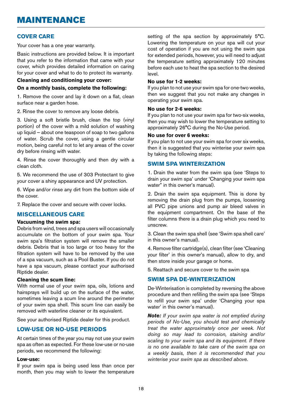#### **COVER CARE**

Your cover has a one year warranty.

Basic instructions are provided below. It is important that you refer to the information that came with your cover, which provides detailed information on caring for your cover and what to do to protect its warranty.

#### **Cleaning and conditioning your cover: On a monthly basis, complete the following:**

1. Remove the cover and lay it down on a flat, clean surface near a garden hose.

2. Rinse the cover to remove any loose debris.

3. Using a soft bristle brush, clean the top (vinyl portion) of the cover with a mild solution of washing up liquid — about one teaspoon of soap to two gallons of water. Scrub the cover, using a gentle circular motion, being careful not to let any areas of the cover dry before rinsing with water.

4. Rinse the cover thoroughly and then dry with a clean cloth.

5. We recommend the use of 303 Protectant to give your cover a shiny appearance and UV protection.

6. Wipe and/or rinse any dirt from the bottom side of the cover.

7. Replace the cover and secure with cover locks.

#### **MISCELLANEOUS CARE**

#### **Vacuuming the swim spa:**

Debris from wind, trees and spa users will occasionally accumulate on the bottom of your swim spa. Your swim spa's filtration system will remove the smaller debris. Debris that is too large or too heavy for the filtration system will have to be removed by the use of a spa vacuum, such as a Pool Buster. If you do not have a spa vacuum, please contact your authorised Riptide dealer.

#### **Cleaning the scum line:**

With normal use of your swim spa, oils, lotions and hairsprays will build up on the surface of the water, sometimes leaving a scum line around the perimeter of your swim spa shell. This scum line can easily be removed with waterline cleaner or its equivalent.

See your authorised Riptide dealer for this product.

#### **LOW-USE OR NO-USE PERIODS**

At certain times of the year you may not use your swim spa as often as expected. For these low-use or no-use periods, we recommend the following:

#### **Low-use:**

If your swim spa is being used less than once per month, then you may wish to lower the temperature setting of the spa section by approximately 5°C. Lowering the temperature on your spa will cut your cost of operation if you are not using the swim spa for extended periods, however, you will need to adjust the temperature setting approximately 120 minutes before each use to heat the spa section to the desired level.

#### **No use for 1-2 weeks:**

If you plan to not use your swim spa for one-two weeks, then we suggest that you not make any changes in operating your swim spa.

#### **No use for 2-6 weeks:**

If you plan to not use your swim spa for two-six weeks, then you may wish to lower the temperature setting to approximately 26°C during the No-Use period.

#### **No use for over 6 weeks:**

If you plan to not use your swim spa for over six weeks, then it is suggested that you winterise your swim spa by taking the following steps:

#### **SWIM SPA WINTERIZATION**

1. Drain the water from the swim spa (see 'Steps to drain your swim spa' under 'Changing your swim spa water" in this owner's manual).

2. Drain the swim spa equipment. This is done by removing the drain plug from the pumps, loosening all PVC pipe unions and pump air bleed valves in the equipment compartment. On the base of the filter columns there is a drain plug which you need to unscrew.

3. Clean the swim spa shell (see 'Swim spa shell care' in this owner's manual).

4. Remove filter cartridge(s), clean filter (see 'Cleaning your filter' in this owner's manual), allow to dry, and then store inside your garage or home.

5. Reattach and secure cover to the swim spa

#### **SWIM SPA DE-WINTERIZATION**

De-Winterisation is completed by reversing the above procedure and then refilling the swim spa (see 'Steps to refill your swim spa' under 'Changing your spa water' in this owner's manual).

*Note: If your swim spa water is not emptied during periods of No-Use, you should test and chemically treat the water approximately once per week. Not doing so may lead to corrosion, staining and/or scaling to your swim spa and its equipment. If there is no one available to take care of the swim spa on a weekly basis, then it is recommended that you winterise your swim spa as described above.*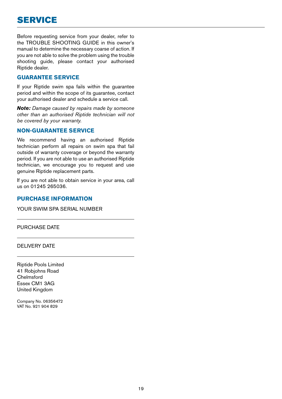Before requesting service from your dealer, refer to the TROUBLE SHOOTING GUIDE in this owner's manual to determine the necessary coarse of action. If you are not able to solve the problem using the trouble shooting guide, please contact your authorised Riptide dealer.

#### **GUARANTEE SERVICE**

If your Riptide swim spa fails within the guarantee period and within the scope of its guarantee, contact your authorised dealer and schedule a service call.

*Note: Damage caused by repairs made by someone other than an authorised Riptide technician will not be covered by your warranty.* 

#### **NON-GUARANTEE SERVICE**

We recommend having an authorised Riptide technician perform all repairs on swim spa that fail outside of warranty coverage or beyond the warranty period. If you are not able to use an authorised Riptide technician, we encourage you to request and use genuine Riptide replacement parts.

If you are not able to obtain service in your area, call us on 01245 265036.

#### **PURCHASE INFORMATION**

YOUR SWIM SPA SERIAL NUMBER

PURCHASE DATE

DELIVERY DATE

Riptide Pools Limited 41 Robjohns Road Chelmsford Essex CM1 3AG United Kingdom

Company No. 06356472 VAT No. 921 904 829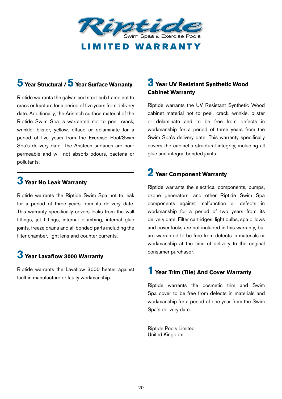

# **5 Year Structural / 5 Year Surface Warranty**

Riptide warrants the galvanised steel sub frame not to crack or fracture for a period of five years from delivery date. Additionally, the Aristech surface material of the Riptide Swim Spa is warranted not to peel, crack, wrinkle, blister, yellow, efface or delaminate for a period of five years from the Exercise Pool/Swim Spa's delivery date. The Aristech surfaces are nonpermeable and will not absorb odours, bacteria or pollutants.

### **3 Year No Leak Warranty**

Riptide warrants the Riptide Swim Spa not to leak for a period of three years from its delivery date. This warranty specifically covers leaks from the wall fittings, jet fittings, internal plumbing, internal glue joints, freeze drains and all bonded parts including the filter chamber, light lens and counter currents.

### **3 Year Lavaflow 3000 Warranty**

Riptide warrants the Lavaflow 3000 heater against fault in manufacture or faulty workmanship.

### **3 Year UV Resistant Synthetic Wood Cabinet Warranty**

Riptide warrants the UV Resistant Synthetic Wood cabinet material not to peel, crack, wrinkle, blister or delaminate and to be free from defects in workmanship for a period of three years from the Swim Spa's delivery date. This warranty specifically covers the cabinet's structural integrity, including all glue and integral bonded joints.

### **2 Year Component Warranty**

Riptide warrants the electrical components, pumps, ozone generators, and other Riptide Swim Spa components against malfunction or defects in workmanship for a period of two years from its delivery date. Filter cartridges, light bulbs, spa pillows and cover locks are not included in this warranty, but are warranted to be free from defects in materials or workmanship at the time of delivery to the original consumer purchaser.

### **1 Year Trim (Tile) And Cover Warranty**

Riptide warrants the cosmetic trim and Swim Spa cover to be free from defects in materials and workmanship for a period of one year from the Swim Spa's delivery date.

Riptide Pools Limited United Kingdom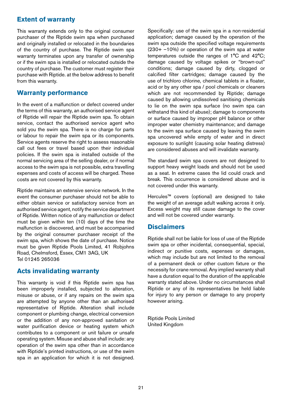#### **Extent of warranty**

This warranty extends only to the original consumer purchaser of the Riptide swim spa when purchased and originally installed or relocated in the boundaries of the country of purchase. The Riptide swim spa warranty terminates upon any transfer of ownership or if the swim spa is installed or relocated outside the country of purchase. The customer must register their purchase with Riptide. at the below address to benefit from this warranty.

#### **Warranty performance**

In the event of a malfunction or defect covered under the terms of this warranty, an authorised service agent of Riptide will repair the Riptide swim spa. To obtain service, contact the authorised service agent who sold you the swim spa. There is no charge for parts or labour to repair the swim spa or its components. Service agents reserve the right to assess reasonable call out fees or travel based upon their individual policies. If the swim spa is installed outside of the normal servicing area of the selling dealer, or if normal access to the swim spa is not possible, extra travelling expenses and costs of access will be charged. These costs are not covered by this warranty.

Riptide maintains an extensive service network. In the event the consumer purchaser should not be able to either obtain service or satisfactory service from an authorised service agent, notify the service department of Riptide. Written notice of any malfunction or defect must be given within ten (10) days of the time the malfunction is discovered, and must be accompanied by the original consumer purchaser receipt of the swim spa, which shows the date of purchase. Notice must be given Riptide Pools Limited, 41 Robjohns Road, Chelmsford, Essex, CM1 3AG, UK Tel 01245 265036

#### **Acts invalidating warranty**

This warranty is void if this Riptide swim spa has been improperly installed, subjected to alteration, misuse or abuse, or if any repairs on the swim spa are attempted by anyone other than an authorised representative of Riptide. Alteration shall include component or plumbing change, electrical conversion or the addition of any non-approved sanitation or water purification device or heating system which contributes to a component or unit failure or unsafe operating system. Misuse and abuse shall include: any operation of the swim spa other than in accordance with Riptide's printed instructions, or use of the swim spa in an application for which it is not designed. Specifically: use of the swim spa in a non-residential application; damage caused by the operation of the swim spa outside the specified voltage requirements (230+ –10%) or operation of the swim spa at water temperatures outside the ranges of 1°C and 42°C; damage caused by voltage spikes or "brown-out" conditions; damage caused by dirty, clogged or calcified filter cartridges; damage caused by the use of trichloro chlorine, chemical tablets in a floater, acid or by any other spa / pool chemicals or cleaners which are not recommended by Riptide; damage caused by allowing undissolved sanitising chemicals to lie on the swim spa surface (no swim spa can withstand this kind of abuse); damage to components or surface caused by improper pH balance or other improper water chemistry maintenance; and damage to the swim spa surface caused by leaving the swim spa uncovered while empty of water and in direct exposure to sunlight (causing solar heating distress) are considered abuses and will invalidate warranty.

The standard swim spa covers are not designed to support heavy weight loads and should not be used as a seat. In extreme cases the lid could crack and break. This occurrence is considered abuse and is not covered under this warranty.

Hercules™ covers (optional) are designed to take the weight of an average adult walking across it only. Excess weight may still cause damage to the cover and will not be covered under warranty.

#### **Disclaimers**

Riptide shall not be liable for loss of use of the Riptide swim spa or other incidental, consequential, special, indirect or punitive costs, expenses or damages, which may include but are not limited to the removal of a permanent deck or other custom fixture or the necessity for crane removal. Any implied warranty shall have a duration equal to the duration of the applicable warranty stated above. Under no circumstances shall Riptide or any of its representatives be held liable for injury to any person or damage to any property however arising.

Riptide Pools Limited United Kingdom